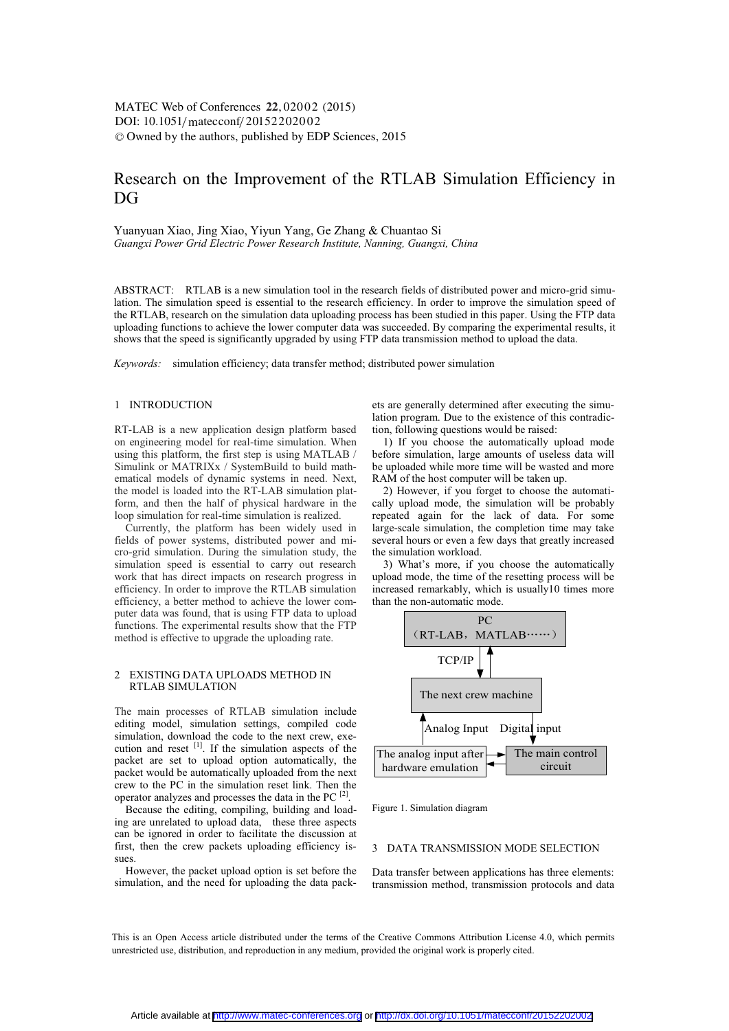$\text{DOI: } 10.1051/\text{mategorf}/20152202002$ -<sup>C</sup> Owned by the authors, published by EDP Sciences, 2015 MATEC Web of Conferences 22,02002 (2015)

# Research on the Improvement of the RTLAB Simulation Efficiency in DG

Yuanyuan Xiao, Jing Xiao, Yiyun Yang, Ge Zhang & Chuantao Si *Guangxi Power Grid Electric Power Research Institute, Nanning, Guangxi, China* 

ABSTRACT: RTLAB is a new simulation tool in the research fields of distributed power and micro-grid simulation. The simulation speed is essential to the research efficiency. In order to improve the simulation speed of the RTLAB, research on the simulation data uploading process has been studied in this paper. Using the FTP data uploading functions to achieve the lower computer data was succeeded. By comparing the experimental results, it shows that the speed is significantly upgraded by using FTP data transmission method to upload the data.

*Keywords:* simulation efficiency; data transfer method; distributed power simulation

#### 1 INTRODUCTION

RT-LAB is a new application design platform based on engineering model for real-time simulation. When using this platform, the first step is using MATLAB / Simulink or MATRIXx / SystemBuild to build mathematical models of dynamic systems in need. Next, the model is loaded into the RT-LAB simulation platform, and then the half of physical hardware in the loop simulation for real-time simulation is realized.

Currently, the platform has been widely used in fields of power systems, distributed power and micro-grid simulation. During the simulation study, the simulation speed is essential to carry out research work that has direct impacts on research progress in efficiency. In order to improve the RTLAB simulation efficiency, a better method to achieve the lower computer data was found, that is using FTP data to upload functions. The experimental results show that the FTP method is effective to upgrade the uploading rate.

#### 2 EXISTING DATA UPLOADS METHOD IN RTLAB SIMULATION

The main processes of RTLAB simulation include editing model, simulation settings, compiled code simulation, download the code to the next crew, execution and reset  $^{[1]}$ . If the simulation aspects of the packet are set to upload option automatically, the packet would be automatically uploaded from the next crew to the PC in the simulation reset link. Then the operator analyzes and processes the data in the PC  $^{[2]}$ .

Because the editing, compiling, building and loading are unrelated to upload data, these three aspects can be ignored in order to facilitate the discussion at first, then the crew packets uploading efficiency issues.

However, the packet upload option is set before the simulation, and the need for uploading the data packets are generally determined after executing the simulation program. Due to the existence of this contradiction, following questions would be raised:

1) If you choose the automatically upload mode before simulation, large amounts of useless data will be uploaded while more time will be wasted and more RAM of the host computer will be taken up.

2) However, if you forget to choose the automatically upload mode, the simulation will be probably repeated again for the lack of data. For some large-scale simulation, the completion time may take several hours or even a few days that greatly increased the simulation workload.

3) What's more, if you choose the automatically upload mode, the time of the resetting process will be increased remarkably, which is usually10 times more than the non-automatic mode.



Figure 1. Simulation diagram

# 3 DATA TRANSMISSION MODE SELECTION

Data transfer between applications has three elements: transmission method, transmission protocols and data

This is an Open Access article distributed under the terms of the Creative Commons Attribution License 4.0, which permits unrestricted use, distribution, and reproduction in any medium, provided the original work is properly cited.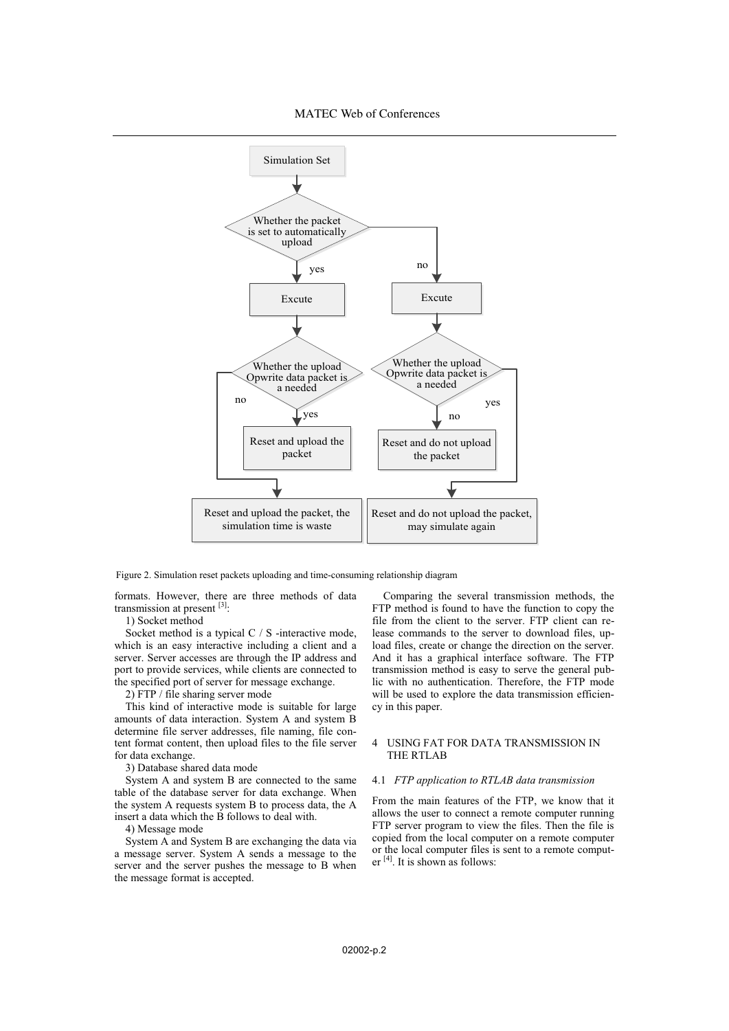

Figure 2. Simulation reset packets uploading and time-consuming relationship diagram

formats. However, there are three methods of data transmission at present [3]:

1) Socket method

Socket method is a typical C / S -interactive mode, which is an easy interactive including a client and a server. Server accesses are through the IP address and port to provide services, while clients are connected to the specified port of server for message exchange.

2) FTP / file sharing server mode

This kind of interactive mode is suitable for large amounts of data interaction. System A and system B determine file server addresses, file naming, file content format content, then upload files to the file server for data exchange.

3) Database shared data mode

System A and system B are connected to the same table of the database server for data exchange. When the system A requests system B to process data, the A insert a data which the B follows to deal with.

4) Message mode

System A and System B are exchanging the data via a message server. System A sends a message to the server and the server pushes the message to B when the message format is accepted.

Comparing the several transmission methods, the FTP method is found to have the function to copy the file from the client to the server. FTP client can release commands to the server to download files, upload files, create or change the direction on the server. And it has a graphical interface software. The FTP transmission method is easy to serve the general public with no authentication. Therefore, the FTP mode will be used to explore the data transmission efficiency in this paper.

# 4 USING FAT FOR DATA TRANSMISSION IN THE RTLAB

# 4.1 *FTP application to RTLAB data transmission*

From the main features of the FTP, we know that it allows the user to connect a remote computer running FTP server program to view the files. Then the file is copied from the local computer on a remote computer or the local computer files is sent to a remote computer [4]. It is shown as follows: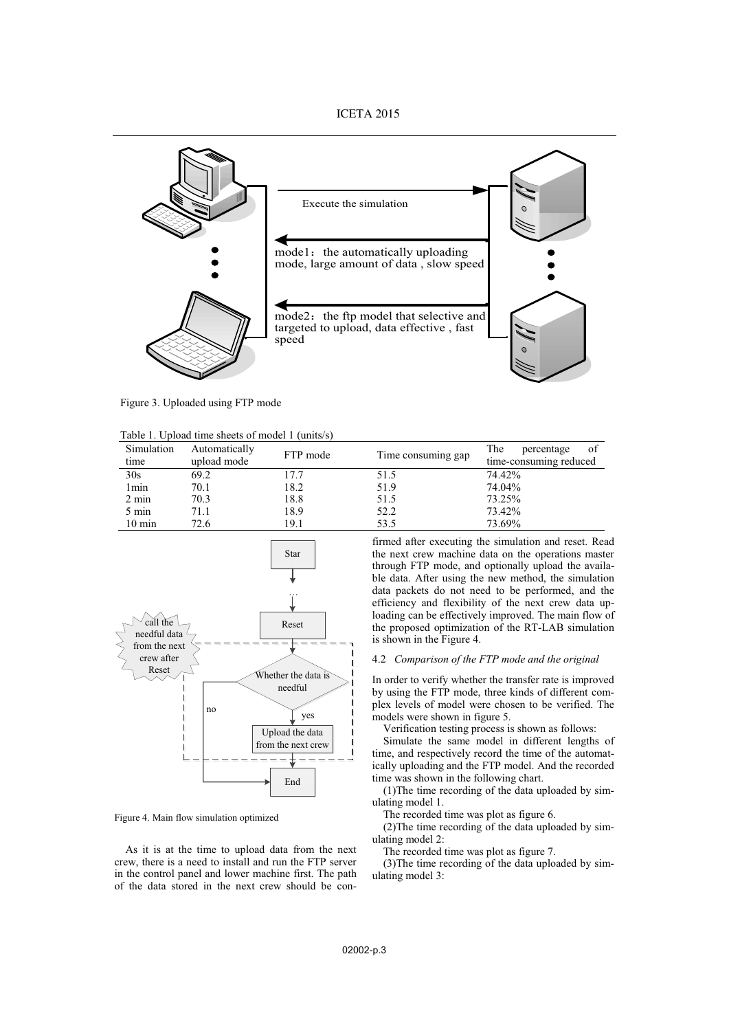

Figure 3. Uploaded using FTP mode

Table 1. Upload time sheets of model 1 (units/s)

| Simulation<br>time | Automatically<br>upload mode | FTP mode | Time consuming gap | The<br>-of<br>percentage<br>time-consuming reduced |
|--------------------|------------------------------|----------|--------------------|----------------------------------------------------|
| 30s                | 69.2                         | 17.7     | 51.5               | 74.42%                                             |
| 1 <sub>min</sub>   | 70.1                         | 18.2     | 51.9               | 74.04%                                             |
| $2 \text{ min}$    | 70.3                         | 18.8     | 51.5               | 73.25%                                             |
| $5 \text{ min}$    | 71.1                         | 18.9     | 52.2               | 73.42%                                             |
| $10 \text{ min}$   | 72.6                         | 19.1     | 53.5               | 73.69%                                             |



Figure 4. Main flow simulation optimized

As it is at the time to upload data from the next crew, there is a need to install and run the FTP server in the control panel and lower machine first. The path of the data stored in the next crew should be confirmed after executing the simulation and reset. Read the next crew machine data on the operations master through FTP mode, and optionally upload the available data. After using the new method, the simulation data packets do not need to be performed, and the efficiency and flexibility of the next crew data uploading can be effectively improved. The main flow of the proposed optimization of the RT-LAB simulation is shown in the Figure 4.

#### 4.2 *Comparison of the FTP mode and the original*

In order to verify whether the transfer rate is improved by using the FTP mode, three kinds of different complex levels of model were chosen to be verified. The models were shown in figure 5.

Verification testing process is shown as follows:

Simulate the same model in different lengths of time, and respectively record the time of the automatically uploading and the FTP model. And the recorded time was shown in the following chart.

(1)The time recording of the data uploaded by simulating model 1.

The recorded time was plot as figure 6.

(2)The time recording of the data uploaded by simulating model 2:

The recorded time was plot as figure 7.

(3)The time recording of the data uploaded by simulating model 3: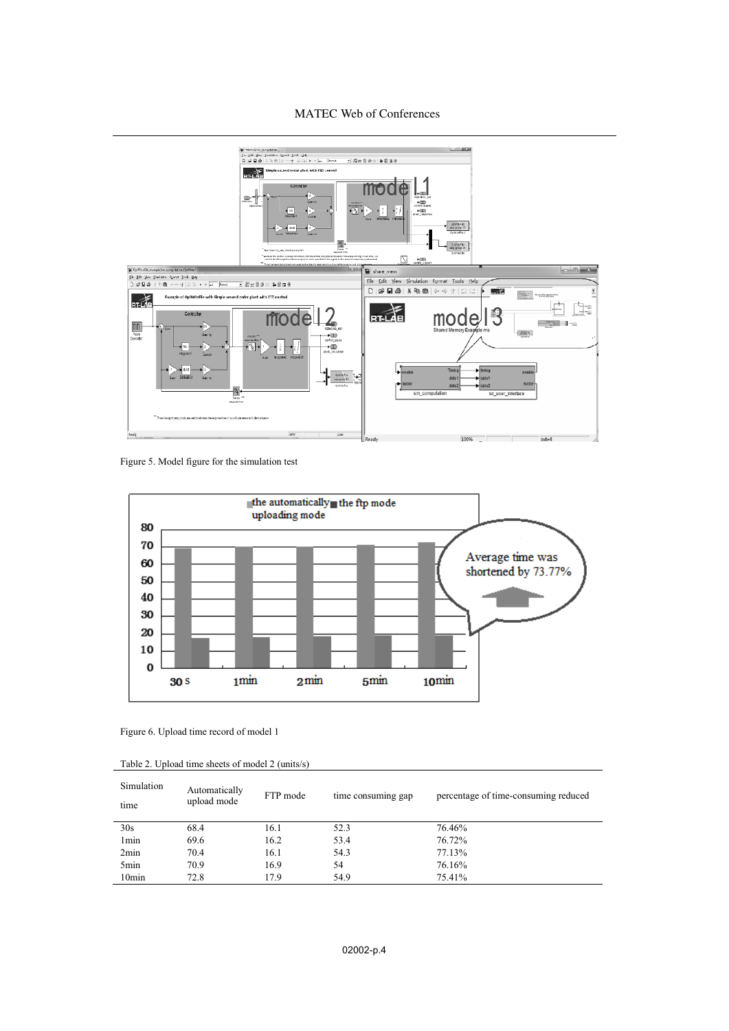



Figure 5. Model figure for the simulation test



Figure 6. Upload time record of model 1

| Table 2. Upload time sheets of model 2 (units/s) |
|--------------------------------------------------|
|--------------------------------------------------|

| Simulation<br>time | Automatically<br>upload mode | FTP mode | time consuming gap | percentage of time-consuming reduced |
|--------------------|------------------------------|----------|--------------------|--------------------------------------|
| 30s                | 68.4                         | 16.1     | 52.3               | 76.46%                               |
| 1 <sub>min</sub>   | 69.6                         | 16.2     | 53.4               | 76.72%                               |
| 2min               | 70.4                         | 16.1     | 54.3               | 77.13%                               |
| 5 <sub>min</sub>   | 70.9                         | 16.9     | 54                 | 76.16%                               |
| 10 <sub>min</sub>  | 72.8                         | 17.9     | 54.9               | 75.41%                               |
|                    |                              |          |                    |                                      |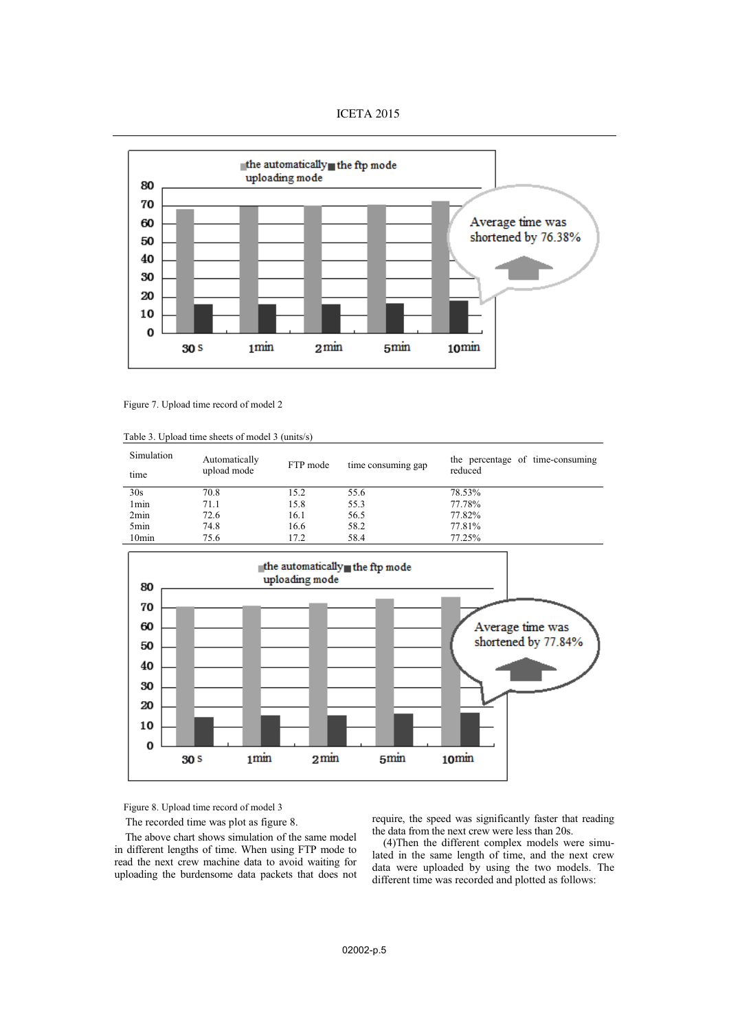



Figure 7. Upload time record of model 2

| Table 3. Upload time sheets of model 3 (units/s) |  |
|--------------------------------------------------|--|
|--------------------------------------------------|--|

| Simulation<br>time | Automatically<br>upload mode | FTP mode | time consuming gap | the percentage of time-consuming<br>reduced |
|--------------------|------------------------------|----------|--------------------|---------------------------------------------|
| 30s                | 70.8                         | 15.2     | 55.6               | 78.53%                                      |
| 1 <sub>min</sub>   | 71.1                         | 15.8     | 55.3               | 77.78%                                      |
| 2min               | 72.6                         | 16.1     | 56.5               | 77.82%                                      |
| 5 <sub>min</sub>   | 74.8                         | 16.6     | 58.2               | 77.81%                                      |
| 10 <sub>min</sub>  | 75.6                         | 17.2     | 58.4               | 77.25%                                      |



Figure 8. Upload time record of model 3

The recorded time was plot as figure 8.

The above chart shows simulation of the same model in different lengths of time. When using FTP mode to read the next crew machine data to avoid waiting for uploading the burdensome data packets that does not

require, the speed was significantly faster that reading the data from the next crew were less than 20s.

(4)Then the different complex models were simulated in the same length of time, and the next crew data were uploaded by using the two models. The different time was recorded and plotted as follows: